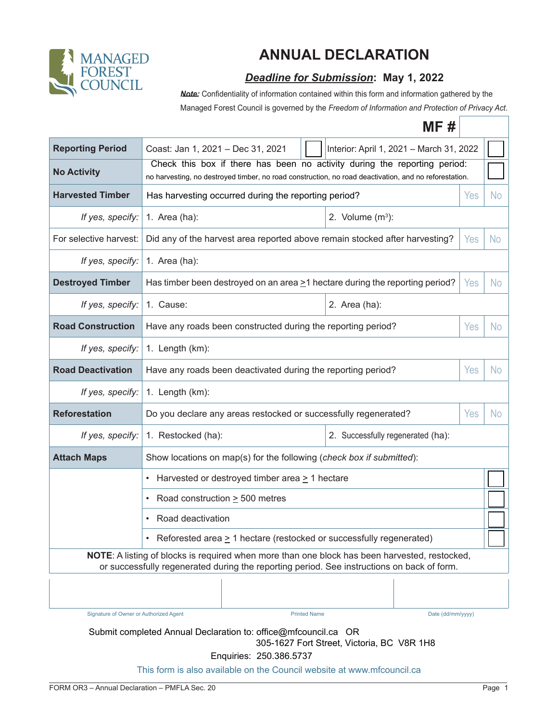

## **ANNUAL DECLARATION**

## *Deadline for Submission***: May 1, 2022**

**Note:** Confidentiality of information contained within this form and information gathered by the

 $\blacksquare$   $\blacksquare$   $\blacksquare$   $\blacksquare$ Managed Forest Council is governed by the *Freedom of Information and Protection of Privacy Act*.

|                                                                                                                                                                                             | MF #                                                                                                                                                                               |                                   |  |  |  |  |  |  |
|---------------------------------------------------------------------------------------------------------------------------------------------------------------------------------------------|------------------------------------------------------------------------------------------------------------------------------------------------------------------------------------|-----------------------------------|--|--|--|--|--|--|
| <b>Reporting Period</b>                                                                                                                                                                     | Coast: Jan 1, 2021 - Dec 31, 2021<br>Interior: April 1, 2021 - March 31, 2022                                                                                                      |                                   |  |  |  |  |  |  |
| <b>No Activity</b>                                                                                                                                                                          | Check this box if there has been no activity during the reporting period:<br>no harvesting, no destroyed timber, no road construction, no road deactivation, and no reforestation. |                                   |  |  |  |  |  |  |
| <b>Harvested Timber</b>                                                                                                                                                                     | Has harvesting occurred during the reporting period?                                                                                                                               |                                   |  |  |  |  |  |  |
| If yes, specify:                                                                                                                                                                            | 1. Area (ha):                                                                                                                                                                      | 2. Volume $(m^3)$ :               |  |  |  |  |  |  |
| For selective harvest:                                                                                                                                                                      | Did any of the harvest area reported above remain stocked after harvesting?                                                                                                        |                                   |  |  |  |  |  |  |
| If yes, specify:                                                                                                                                                                            | 1. Area (ha):                                                                                                                                                                      |                                   |  |  |  |  |  |  |
| <b>Destroyed Timber</b>                                                                                                                                                                     | Has timber been destroyed on an area $\geq$ 1 hectare during the reporting period?                                                                                                 |                                   |  |  |  |  |  |  |
| If yes, specify:                                                                                                                                                                            | 1. Cause:                                                                                                                                                                          | 2. Area (ha):                     |  |  |  |  |  |  |
| <b>Road Construction</b>                                                                                                                                                                    | Have any roads been constructed during the reporting period?                                                                                                                       |                                   |  |  |  |  |  |  |
| If yes, specify:                                                                                                                                                                            | 1. Length (km):                                                                                                                                                                    |                                   |  |  |  |  |  |  |
| <b>Road Deactivation</b>                                                                                                                                                                    | Have any roads been deactivated during the reporting period?<br>Yes                                                                                                                |                                   |  |  |  |  |  |  |
| If yes, specify:                                                                                                                                                                            | 1. Length (km):                                                                                                                                                                    |                                   |  |  |  |  |  |  |
| <b>Reforestation</b>                                                                                                                                                                        | Do you declare any areas restocked or successfully regenerated?<br>Yes                                                                                                             |                                   |  |  |  |  |  |  |
| If yes, specify:                                                                                                                                                                            | 1. Restocked (ha):                                                                                                                                                                 | 2. Successfully regenerated (ha): |  |  |  |  |  |  |
| <b>Attach Maps</b>                                                                                                                                                                          | Show locations on map(s) for the following (check box if submitted):                                                                                                               |                                   |  |  |  |  |  |  |
|                                                                                                                                                                                             | Harvested or destroyed timber area $\geq 1$ hectare                                                                                                                                |                                   |  |  |  |  |  |  |
|                                                                                                                                                                                             | Road construction $\geq$ 500 metres                                                                                                                                                |                                   |  |  |  |  |  |  |
|                                                                                                                                                                                             | Road deactivation                                                                                                                                                                  |                                   |  |  |  |  |  |  |
| Reforested area $\geq$ 1 hectare (restocked or successfully regenerated)                                                                                                                    |                                                                                                                                                                                    |                                   |  |  |  |  |  |  |
| NOTE: A listing of blocks is required when more than one block has been harvested, restocked,<br>or successfully regenerated during the reporting period. See instructions on back of form. |                                                                                                                                                                                    |                                   |  |  |  |  |  |  |
|                                                                                                                                                                                             |                                                                                                                                                                                    |                                   |  |  |  |  |  |  |
| Signature of Owner or Authorized Agent                                                                                                                                                      | <b>Printed Name</b>                                                                                                                                                                | Date (dd/mm/yyyy)                 |  |  |  |  |  |  |
| Submit completed Annual Declaration to: office@mfcouncil.ca OR<br>305-1627 Fort Street, Victoria, BC V8R 1H8                                                                                |                                                                                                                                                                                    |                                   |  |  |  |  |  |  |

Enquiries: 250.386.5737

 $\mathcal{L}_\mathcal{L} = \{ \mathcal{L}_\mathcal{L} = \{ \mathcal{L}_\mathcal{L} = \{ \mathcal{L}_\mathcal{L} = \{ \mathcal{L}_\mathcal{L} = \{ \mathcal{L}_\mathcal{L} = \{ \mathcal{L}_\mathcal{L} = \{ \mathcal{L}_\mathcal{L} = \{ \mathcal{L}_\mathcal{L} = \{ \mathcal{L}_\mathcal{L} = \{ \mathcal{L}_\mathcal{L} = \{ \mathcal{L}_\mathcal{L} = \{ \mathcal{L}_\mathcal{L} = \{ \mathcal{L}_\mathcal{L} = \{ \mathcal{L}_\mathcal{$ This form is also available on the Council website at www.mfcouncil.ca